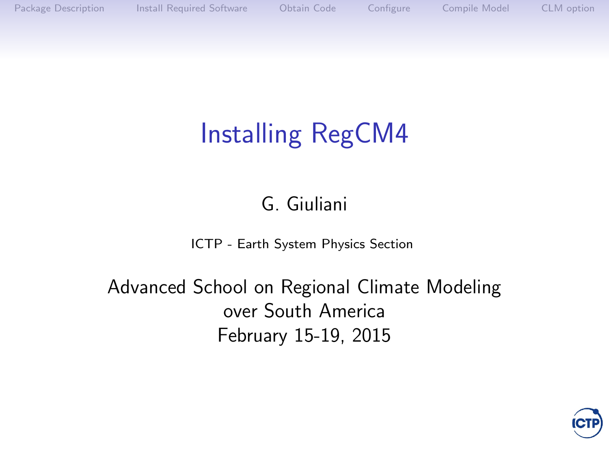# Installing RegCM4

#### G. Giuliani

[ICTP - Earth System Physics Section](http://www.ictp.it)

Advanced School on Regional Climate Modeling over South America February 15-19, 2015

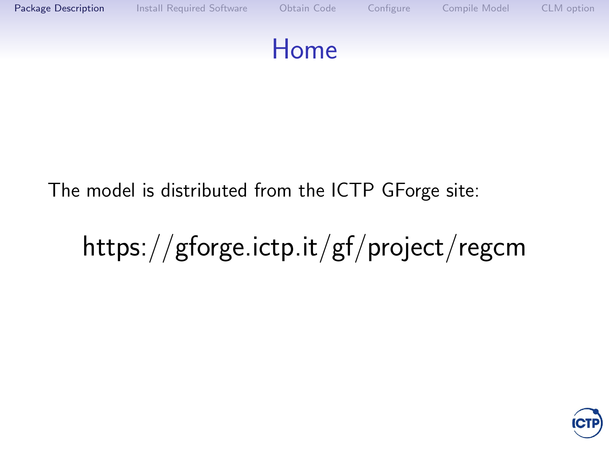<span id="page-1-0"></span>

#### The model is distributed from the ICTP GForge site:

# https://gforge.ictp.it/gf/project/regcm

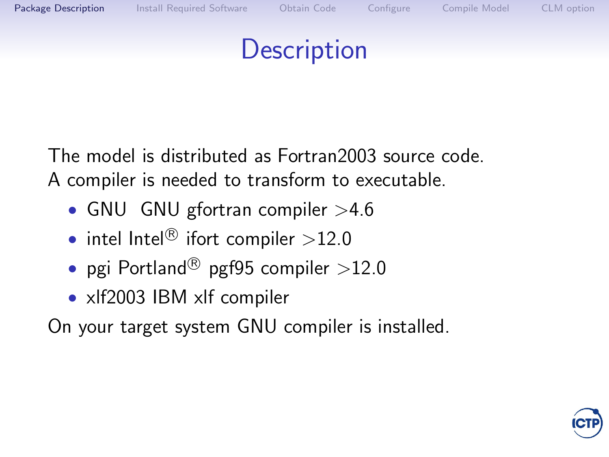#### **Description**

The model is distributed as Fortran2003 source code. A compiler is needed to transform to executable.

- GNU [GNU gfortran compiler](http://gcc.gnu.org) >4.6
- intel Intel $\textcircled{\tiny{\textcircled{\tiny{R}}}}$  [ifort compiler](http://software.intel.com/en-us/articles/intel-composer-xe/) >12.0
- pgi Portland $^{\circledR}$  [pgf95 compiler](http://www.pgroup.com/products/pgiworkstation.htm) >12.0
- xlf2003 [IBM xlf compiler](http://www.ibm.com)

On your target system GNU compiler is installed.

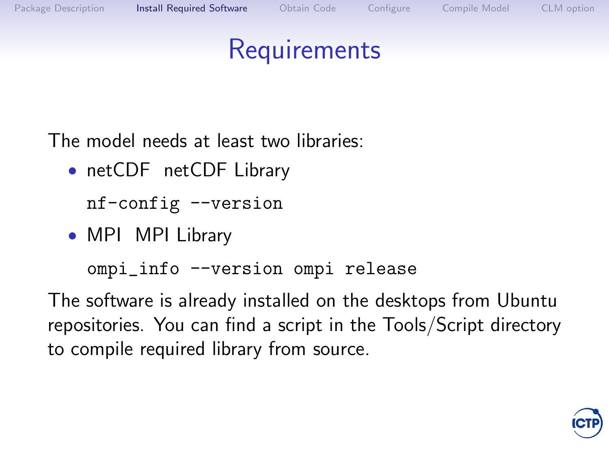#### **Requirements**

<span id="page-3-1"></span><span id="page-3-0"></span>The model needs at least two libraries:

• netCDF [netCDF Library](http://www.unidata.ucar.edu/software/netcdf)

nf-config --version

• MPI [MPI Library](http://www.openmpi.org)

ompi\_info --version ompi release

The software is already installed on the desktops from Ubuntu repositories. You can find a script in the Tools/Script directory to compile required library from source.

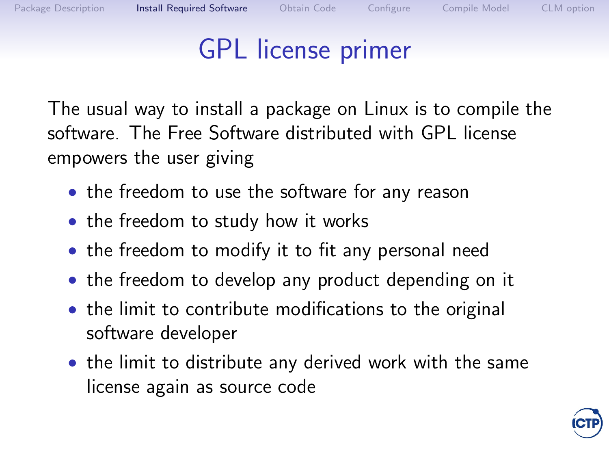### GPL license primer

The usual way to install a package on Linux is to compile the software. The Free Software distributed with GPL license empowers the user giving

- the freedom to use the software for any reason
- the freedom to study how it works
- the freedom to modify it to fit any personal need
- the freedom to develop any product depending on it
- the limit to contribute modifications to the original software developer
- the limit to distribute any derived work with the same license again as source code

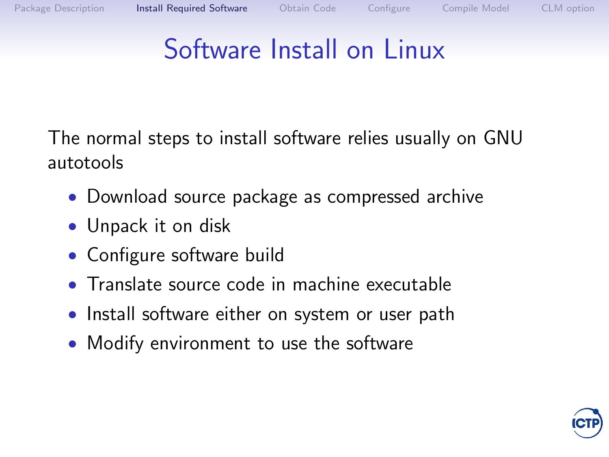### Software Install on Linux

The normal steps to install software relies usually on GNU autotools

- Download source package as compressed archive
- Unpack it on disk
- Configure software build
- Translate source code in machine executable
- Install software either on system or user path
- Modify environment to use the software

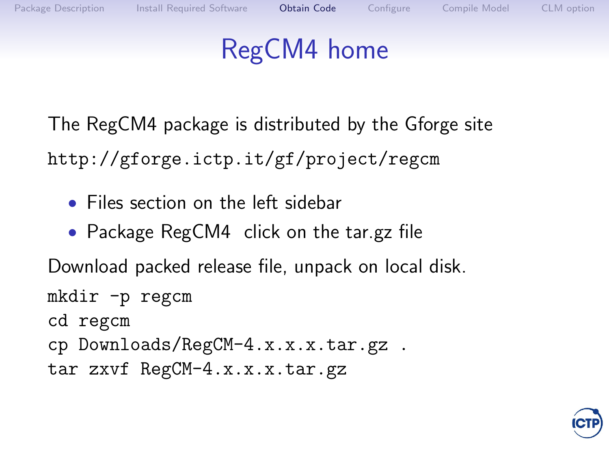### RegCM4 home

<span id="page-6-0"></span>The RegCM4 package is distributed by the [Gforge site](http://gforge.ictp.it/gf/project/regcm) http://gforge.ictp.it/gf/project/regcm

- Files section on the left sidebar
- Package RegCM4 click on the tar.gz file

Download packed release file, unpack on local disk. mkdir -p regcm cd regcm cp Downloads/RegCM-4.x.x.x.tar.gz . tar zxvf RegCM-4.x.x.x.tar.gz

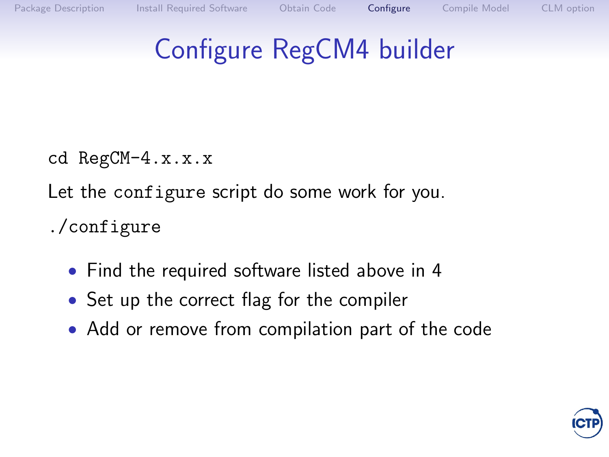## <span id="page-7-0"></span>Configure RegCM4 builder

cd RegCM-4.x.x.x

Let the configure script do some work for you.

./configure

- Find the required software listed above in [4](#page-3-1)
- Set up the correct flag for the compiler
- Add or remove from compilation part of the code

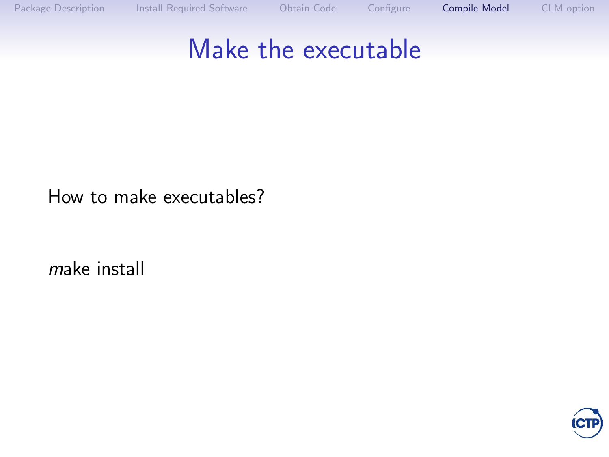#### <span id="page-8-0"></span>Make the executable

How to make executables?

make install

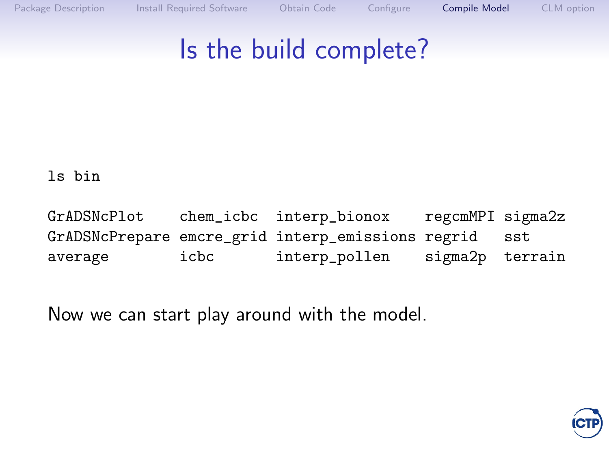#### Is the build complete?

ls bin

GrADSNcPlot chem\_icbc interp\_bionox regcmMPI sigma2z GrADSNcPrepare emcre\_grid interp\_emissions regrid sst average icbc interp\_pollen sigma2p terrain

Now we can start play around with the model.

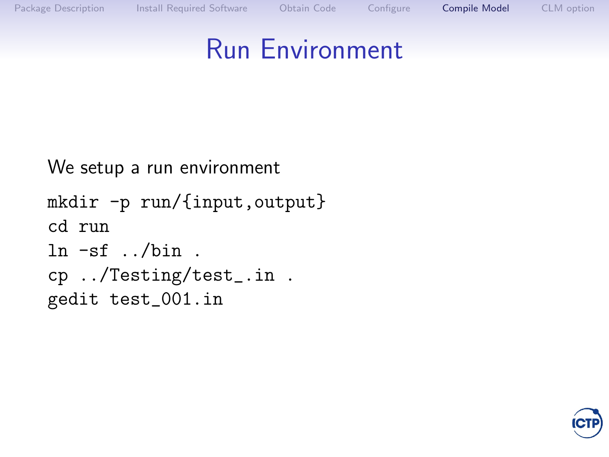#### Run Environment

```
We setup a run environment
mkdir -p run/{input,output}
cd run
ln -sf ../bin.
cp ../Testing/test_.in .
gedit test_001.in
```
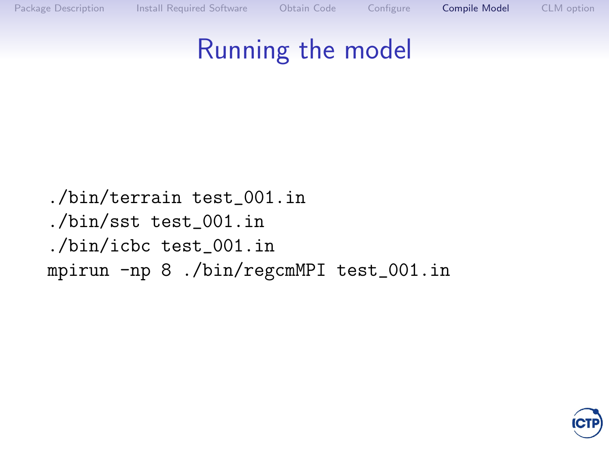### Running the model

./bin/terrain test\_001.in ./bin/sst test\_001.in ./bin/icbc test\_001.in mpirun -np 8 ./bin/regcmMPI test\_001.in

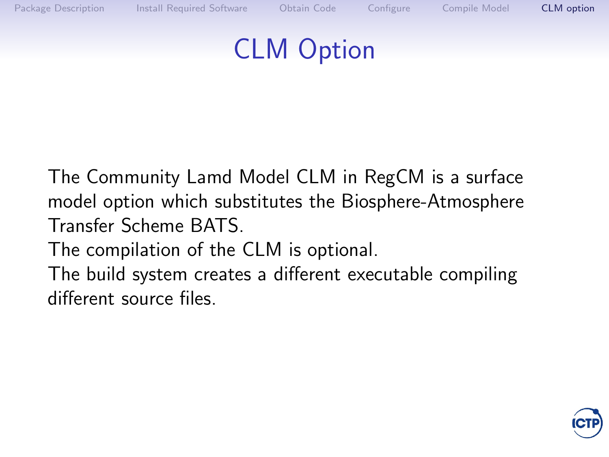#### CLM Option

<span id="page-12-0"></span>The Community Lamd Model CLM in RegCM is a surface model option which substitutes the Biosphere-Atmosphere Transfer Scheme BATS.

The compilation of the CLM is optional.

The build system creates a different executable compiling different source files.

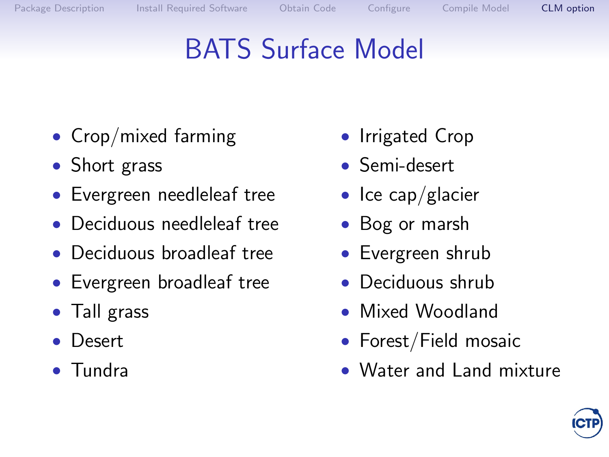# BATS Surface Model

- Crop/mixed farming
- Short grass
- Evergreen needleleaf tree
- Deciduous needleleaf tree
- Deciduous broadleaf tree
- Evergreen broadleaf tree
- Tall grass
- Desert
- Tundra
- Irrigated Crop
- Semi-desert
- Ice cap/glacier
- Bog or marsh
- Evergreen shrub
- Deciduous shrub
- Mixed Woodland
- Forest/Field mosaic
- Water and Land mixture

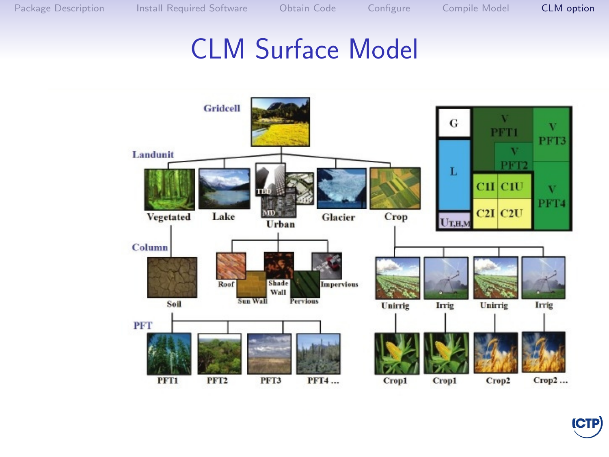#### CLM Surface Model



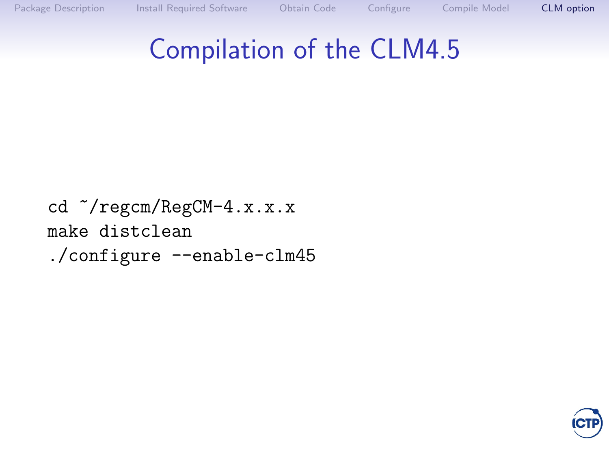### Compilation of the CLM4.5

cd  $\gamma$ regcm/RegCM-4.x.x.x make distclean ./configure --enable-clm45

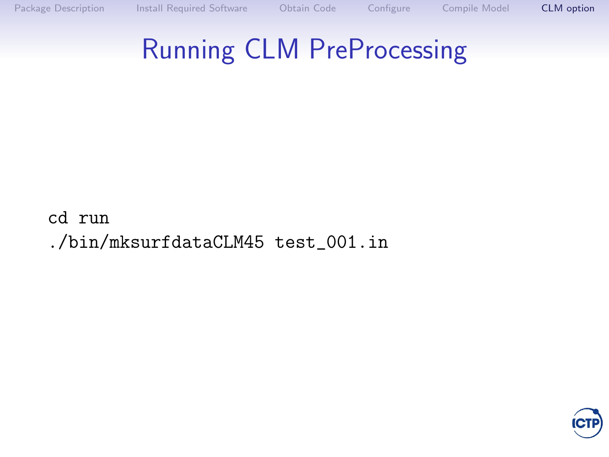## Running CLM PreProcessing

cd run ./bin/mksurfdataCLM45 test\_001.in